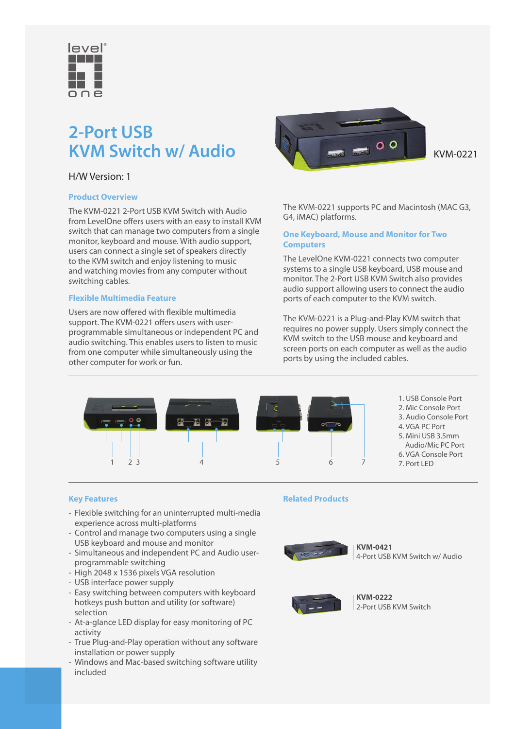

## **2-Port USB KVM Switch w/ Audio** KVM  $\bullet$  O  $\bullet$  KVM-0221

### H/W Version: 1

### **Product Overview**

The KVM-0221 2-Port USB KVM Switch with Audio from LevelOne offers users with an easy to install KVM switch that can manage two computers from a single monitor, keyboard and mouse. With audio support, users can connect a single set of speakers directly to the KVM switch and enjoy listening to music and watching movies from any computer without switching cables.

### **Flexible Multimedia Feature**

Users are now offered with flexible multimedia support. The KVM-0221 offers users with userprogrammable simultaneous or independent PC and audio switching. This enables users to listen to music from one computer while simultaneously using the other computer for work or fun.



The KVM-0221 supports PC and Macintosh (MAC G3, G4, iMAC) platforms.

### **One Keyboard, Mouse and Monitor for Two Computers**

The LevelOne KVM-0221 connects two computer systems to a single USB keyboard, USB mouse and monitor. The 2-Port USB KVM Switch also provides audio support allowing users to connect the audio ports of each computer to the KVM switch.

The KVM-0221 is a Plug-and-Play KVM switch that requires no power supply. Users simply connect the KVM switch to the USB mouse and keyboard and screen ports on each computer as well as the audio ports by using the included cables.



1. USB Console Port 2. Mic Console Port 3. Audio Console Port 4. VGA PC Port 5. Mini USB 3.5mm Audio/Mic PC Port 6. VGA Console Port 7. Port LED

**Key Features**

- Flexible switching for an uninterrupted multi-media experience across multi-platforms
- Control and manage two computers using a single USB keyboard and mouse and monitor
- Simultaneous and independent PC and Audio userprogrammable switching
- High 2048 x 1536 pixels VGA resolution
- USB interface power supply
- Easy switching between computers with keyboard hotkeys push button and utility (or software) selection
- At-a-glance LED display for easy monitoring of PC activity
- True Plug-and-Play operation without any software installation or power supply
- Windows and Mac-based switching software utility included

### **Related Products**



**KVM-0421** 4-Port USB KVM Switch w/ Audio



**KVM-0222** 2-Port USB KVM Switch